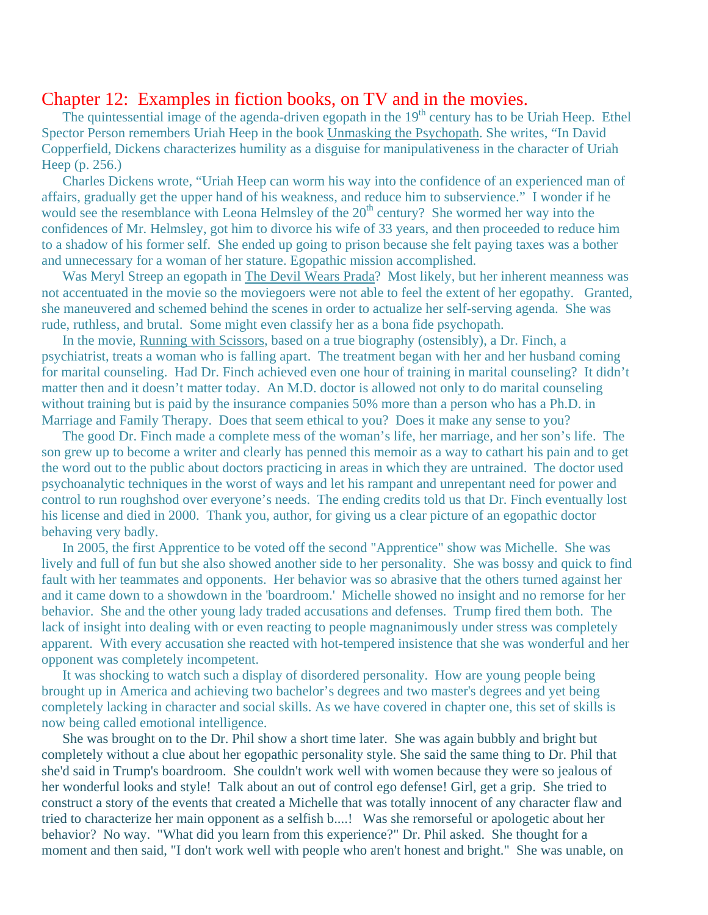## Chapter 12: Examples in fiction books, on TV and in the movies.

The quintessential image of the agenda-driven egopath in the  $19<sup>th</sup>$  century has to be Uriah Heep. Ethel Spector Person remembers Uriah Heep in the book Unmasking the Psychopath. She writes, "In David Copperfield, Dickens characterizes humility as a disguise for manipulativeness in the character of Uriah Heep (p. 256.)

 Charles Dickens wrote, "Uriah Heep can worm his way into the confidence of an experienced man of affairs, gradually get the upper hand of his weakness, and reduce him to subservience." I wonder if he would see the resemblance with Leona Helmsley of the  $20<sup>th</sup>$  century? She wormed her way into the confidences of Mr. Helmsley, got him to divorce his wife of 33 years, and then proceeded to reduce him to a shadow of his former self. She ended up going to prison because she felt paying taxes was a bother and unnecessary for a woman of her stature. Egopathic mission accomplished.

 Was Meryl Streep an egopath in The Devil Wears Prada? Most likely, but her inherent meanness was not accentuated in the movie so the moviegoers were not able to feel the extent of her egopathy. Granted, she maneuvered and schemed behind the scenes in order to actualize her self-serving agenda. She was rude, ruthless, and brutal. Some might even classify her as a bona fide psychopath.

 In the movie, Running with Scissors, based on a true biography (ostensibly), a Dr. Finch, a psychiatrist, treats a woman who is falling apart. The treatment began with her and her husband coming for marital counseling. Had Dr. Finch achieved even one hour of training in marital counseling? It didn't matter then and it doesn't matter today. An M.D. doctor is allowed not only to do marital counseling without training but is paid by the insurance companies 50% more than a person who has a Ph.D. in Marriage and Family Therapy. Does that seem ethical to you? Does it make any sense to you?

 The good Dr. Finch made a complete mess of the woman's life, her marriage, and her son's life. The son grew up to become a writer and clearly has penned this memoir as a way to cathart his pain and to get the word out to the public about doctors practicing in areas in which they are untrained. The doctor used psychoanalytic techniques in the worst of ways and let his rampant and unrepentant need for power and control to run roughshod over everyone's needs. The ending credits told us that Dr. Finch eventually lost his license and died in 2000. Thank you, author, for giving us a clear picture of an egopathic doctor behaving very badly.

 In 2005, the first Apprentice to be voted off the second "Apprentice" show was Michelle. She was lively and full of fun but she also showed another side to her personality. She was bossy and quick to find fault with her teammates and opponents. Her behavior was so abrasive that the others turned against her and it came down to a showdown in the 'boardroom.' Michelle showed no insight and no remorse for her behavior. She and the other young lady traded accusations and defenses. Trump fired them both. The lack of insight into dealing with or even reacting to people magnanimously under stress was completely apparent. With every accusation she reacted with hot-tempered insistence that she was wonderful and her opponent was completely incompetent.

 It was shocking to watch such a display of disordered personality. How are young people being brought up in America and achieving two bachelor's degrees and two master's degrees and yet being completely lacking in character and social skills. As we have covered in chapter one, this set of skills is now being called emotional intelligence.

 She was brought on to the Dr. Phil show a short time later. She was again bubbly and bright but completely without a clue about her egopathic personality style. She said the same thing to Dr. Phil that she'd said in Trump's boardroom. She couldn't work well with women because they were so jealous of her wonderful looks and style! Talk about an out of control ego defense! Girl, get a grip. She tried to construct a story of the events that created a Michelle that was totally innocent of any character flaw and tried to characterize her main opponent as a selfish b....! Was she remorseful or apologetic about her behavior? No way. "What did you learn from this experience?" Dr. Phil asked. She thought for a moment and then said, "I don't work well with people who aren't honest and bright." She was unable, on